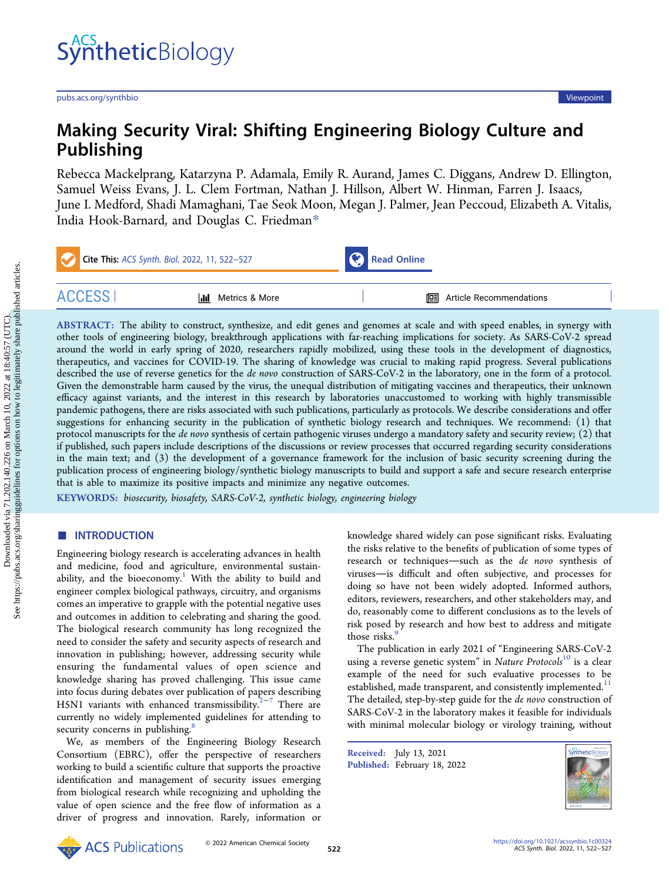# Making Security Viral: Shifting Engineering Biology Culture and Publishing

[Rebecca Mackelprang,](https://pubs.acs.org/action/doSearch?field1=Contrib&text1="Rebecca+Mackelprang"&field2=AllField&text2=&publication=&accessType=allContent&Earliest=&ref=pdf) [Katarzyna P. Adamala,](https://pubs.acs.org/action/doSearch?field1=Contrib&text1="Katarzyna+P.+Adamala"&field2=AllField&text2=&publication=&accessType=allContent&Earliest=&ref=pdf) [Emily R. Aurand,](https://pubs.acs.org/action/doSearch?field1=Contrib&text1="Emily+R.+Aurand"&field2=AllField&text2=&publication=&accessType=allContent&Earliest=&ref=pdf) [James C. Diggans,](https://pubs.acs.org/action/doSearch?field1=Contrib&text1="James+C.+Diggans"&field2=AllField&text2=&publication=&accessType=allContent&Earliest=&ref=pdf) [Andrew D. Ellington,](https://pubs.acs.org/action/doSearch?field1=Contrib&text1="Andrew+D.+Ellington"&field2=AllField&text2=&publication=&accessType=allContent&Earliest=&ref=pdf) [Samuel Weiss Evans,](https://pubs.acs.org/action/doSearch?field1=Contrib&text1="Samuel+Weiss+Evans"&field2=AllField&text2=&publication=&accessType=allContent&Earliest=&ref=pdf) [J. L. Clem Fortman,](https://pubs.acs.org/action/doSearch?field1=Contrib&text1="J.+L.+Clem+Fortman"&field2=AllField&text2=&publication=&accessType=allContent&Earliest=&ref=pdf) [Nathan J. Hillson,](https://pubs.acs.org/action/doSearch?field1=Contrib&text1="Nathan+J.+Hillson"&field2=AllField&text2=&publication=&accessType=allContent&Earliest=&ref=pdf) [Albert W. Hinman,](https://pubs.acs.org/action/doSearch?field1=Contrib&text1="Albert+W.+Hinman"&field2=AllField&text2=&publication=&accessType=allContent&Earliest=&ref=pdf) [Farren J. Isaacs,](https://pubs.acs.org/action/doSearch?field1=Contrib&text1="Farren+J.+Isaacs"&field2=AllField&text2=&publication=&accessType=allContent&Earliest=&ref=pdf) [June I. Medford,](https://pubs.acs.org/action/doSearch?field1=Contrib&text1="June+I.+Medford"&field2=AllField&text2=&publication=&accessType=allContent&Earliest=&ref=pdf) [Shadi Mamaghani,](https://pubs.acs.org/action/doSearch?field1=Contrib&text1="Shadi+Mamaghani"&field2=AllField&text2=&publication=&accessType=allContent&Earliest=&ref=pdf) [Tae Seok Moon,](https://pubs.acs.org/action/doSearch?field1=Contrib&text1="Tae+Seok+Moon"&field2=AllField&text2=&publication=&accessType=allContent&Earliest=&ref=pdf) [Megan J. Palmer,](https://pubs.acs.org/action/doSearch?field1=Contrib&text1="Megan+J.+Palmer"&field2=AllField&text2=&publication=&accessType=allContent&Earliest=&ref=pdf) [Jean Peccoud,](https://pubs.acs.org/action/doSearch?field1=Contrib&text1="Jean+Peccoud"&field2=AllField&text2=&publication=&accessType=allContent&Earliest=&ref=pdf) [Elizabeth A. Vitalis,](https://pubs.acs.org/action/doSearch?field1=Contrib&text1="Elizabeth+A.+Vitalis"&field2=AllField&text2=&publication=&accessType=allContent&Earliest=&ref=pdf) [India Hook-Barnard,](https://pubs.acs.org/action/doSearch?field1=Contrib&text1="India+Hook-Barnard"&field2=AllField&text2=&publication=&accessType=allContent&Earliest=&ref=pdf) [and Douglas C. Friedman](https://pubs.acs.org/action/doSearch?field1=Contrib&text1="Douglas+C.+Friedman"&field2=AllField&text2=&publication=&accessType=allContent&Earliest=&ref=pdf)[\\*](#page-3-0)

| Cite This: ACS Synth. Biol. 2022, 11, 522-527 |                       | Read Online |                                   |  |
|-----------------------------------------------|-----------------------|-------------|-----------------------------------|--|
| ACCESS I                                      | Metrics & More<br> Jd |             | <b>II</b> Article Recommendations |  |

ABSTRACT: The ability to construct, synthesize, and edit genes and genomes at scale and with speed enables, in synergy with other tools of engineering biology, breakthrough applications with far-reaching implications for society. As SARS-CoV-2 spread around the world in early spring of 2020, researchers rapidly mobilized, using these tools in the development of diagnostics, therapeutics, and vaccines for COVID-19. The sharing of knowledge was crucial to making rapid progress. Several publications described the use of reverse genetics for the de novo construction of SARS-CoV-2 in the laboratory, one in the form of a protocol. Given the demonstrable harm caused by the virus, the unequal distribution of mitigating vaccines and therapeutics, their unknown efficacy against variants, and the interest in this research by laboratories unaccustomed to working with highly transmissible pandemic pathogens, there are risks associated with such publications, particularly as protocols. We describe considerations and offer suggestions for enhancing security in the publication of synthetic biology research and techniques. We recommend: (1) that protocol manuscripts for the de novo synthesis of certain pathogenic viruses undergo a mandatory safety and security review; (2) that if published, such papers include descriptions of the discussions or review processes that occurred regarding security considerations in the main text; and (3) the development of a governance framework for the inclusion of basic security screening during the publication process of engineering biology/synthetic biology manuscripts to build and support a safe and secure research enterprise that is able to maximize its positive impacts and minimize any negative outcomes.

KEYWORDS: biosecurity, biosafety, SARS-CoV-2, synthetic biology, engineering biology

# ■ INTRODUCTION

Engineering biology research is accelerating advances in health and medicine, food and agriculture, environmental sustainability, and the bioeconomy.<sup>1</sup> With the ability to build and engineer complex biological pathways, circuitry, and organisms comes an imperative to grapple with the potential negative uses and outcomes in addition to celebrating and sharing the good. The biological research community has long recognized the need to consider the safety and security aspects of research and innovation in publishing; however, addressing security while ensuring the fundamental values of open science and knowledge sharing has proved challenging. This issue came into focus during debates over publication of papers describing H5N1 variants with enhanced transmissibility.<sup>[2](#page-4-0)-[7](#page-4-0)</sup> There are currently no widely implemented guidelines for attending to security concerns in publishing.<sup>[8](#page-4-0)</sup>

We, as members of the Engineering Biology Research Consortium (EBRC), offer the perspective of researchers working to build a scientific culture that supports the proactive identification and management of security issues emerging from biological research while recognizing and upholding the value of open science and the free flow of information as a driver of progress and innovation. Rarely, information or knowledge shared widely can pose significant risks. Evaluating the risks relative to the benefits of publication of some types of research or techniques-such as the de novo synthesis of viruses-is difficult and often subjective, and processes for doing so have not been widely adopted. Informed authors, editors, reviewers, researchers, and other stakeholders may, and do, reasonably come to different conclusions as to the levels of risk posed by research and how best to address and mitigate those risks.<sup>[9](#page-4-0)</sup>

The publication in early 2021 of "Engineering SARS-CoV-2 using a reverse genetic system" in Nature Protocols<sup>[10](#page-4-0)</sup> is a clear example of the need for such evaluative processes to be established, made transparent, and consistently implemented.<sup>[11](#page-4-0)</sup> The detailed, step-by-step guide for the de novo construction of SARS-CoV-2 in the laboratory makes it feasible for individuals with minimal molecular biology or virology training, without

Received: July 13, 2021 Published: February 18, 2022

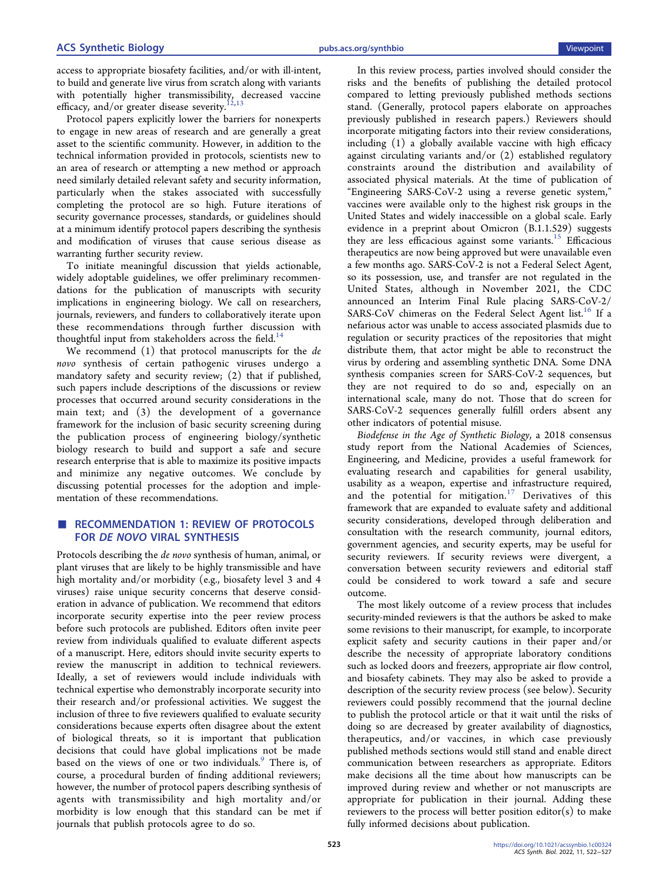access to appropriate biosafety facilities, and/or with ill-intent, to build and generate live virus from scratch along with variants with potentially higher transmissibility, decreased vaccine efficacy, and/or greater disease severity.<sup>[12,13](#page-4-0)</sup>

Protocol papers explicitly lower the barriers for nonexperts to engage in new areas of research and are generally a great asset to the scientific community. However, in addition to the technical information provided in protocols, scientists new to an area of research or attempting a new method or approach need similarly detailed relevant safety and security information, particularly when the stakes associated with successfully completing the protocol are so high. Future iterations of security governance processes, standards, or guidelines should at a minimum identify protocol papers describing the synthesis and modification of viruses that cause serious disease as warranting further security review.

To initiate meaningful discussion that yields actionable, widely adoptable guidelines, we offer preliminary recommendations for the publication of manuscripts with security implications in engineering biology. We call on researchers, journals, reviewers, and funders to collaboratively iterate upon these recommendations through further discussion with thoughtful input from stakeholders across the field.<sup>[14](#page-4-0)</sup>

We recommend (1) that protocol manuscripts for the de novo synthesis of certain pathogenic viruses undergo a mandatory safety and security review; (2) that if published, such papers include descriptions of the discussions or review processes that occurred around security considerations in the main text; and (3) the development of a governance framework for the inclusion of basic security screening during the publication process of engineering biology/synthetic biology research to build and support a safe and secure research enterprise that is able to maximize its positive impacts and minimize any negative outcomes. We conclude by discussing potential processes for the adoption and implementation of these recommendations.

# ■ RECOMMENDATION 1: REVIEW OF PROTOCOLS FOR DE NOVO VIRAL SYNTHESIS

Protocols describing the de novo synthesis of human, animal, or plant viruses that are likely to be highly transmissible and have high mortality and/or morbidity (e.g., biosafety level 3 and 4 viruses) raise unique security concerns that deserve consideration in advance of publication. We recommend that editors incorporate security expertise into the peer review process before such protocols are published. Editors often invite peer review from individuals qualified to evaluate different aspects of a manuscript. Here, editors should invite security experts to review the manuscript in addition to technical reviewers. Ideally, a set of reviewers would include individuals with technical expertise who demonstrably incorporate security into their research and/or professional activities. We suggest the inclusion of three to five reviewers qualified to evaluate security considerations because experts often disagree about the extent of biological threats, so it is important that publication decisions that could have global implications not be made based on the views of one or two individuals.<sup>[9](#page-4-0)</sup> There is, of course, a procedural burden of finding additional reviewers; however, the number of protocol papers describing synthesis of agents with transmissibility and high mortality and/or morbidity is low enough that this standard can be met if journals that publish protocols agree to do so.

In this review process, parties involved should consider the risks and the benefits of publishing the detailed protocol compared to letting previously published methods sections stand. (Generally, protocol papers elaborate on approaches previously published in research papers.) Reviewers should incorporate mitigating factors into their review considerations, including (1) a globally available vaccine with high efficacy against circulating variants and/or (2) established regulatory constraints around the distribution and availability of associated physical materials. At the time of publication of "Engineering SARS-CoV-2 using a reverse genetic system," vaccines were available only to the highest risk groups in the United States and widely inaccessible on a global scale. Early evidence in a preprint about Omicron (B.1.1.529) suggests they are less efficacious against some variants.<sup>[15](#page-4-0)</sup> Efficacious therapeutics are now being approved but were unavailable even a few months ago. SARS-CoV-2 is not a Federal Select Agent, so its possession, use, and transfer are not regulated in the United States, although in November 2021, the CDC announced an Interim Final Rule placing SARS-CoV-2/ SARS-CoV chimeras on the Federal Select Agent list.<sup>[16](#page-4-0)</sup> If a nefarious actor was unable to access associated plasmids due to regulation or security practices of the repositories that might distribute them, that actor might be able to reconstruct the virus by ordering and assembling synthetic DNA. Some DNA synthesis companies screen for SARS-CoV-2 sequences, but they are not required to do so and, especially on an international scale, many do not. Those that do screen for SARS-CoV-2 sequences generally fulfill orders absent any other indicators of potential misuse.

Biodefense in the Age of Synthetic Biology, a 2018 consensus study report from the National Academies of Sciences, Engineering, and Medicine, provides a useful framework for evaluating research and capabilities for general usability, usability as a weapon, expertise and infrastructure required, and the potential for mitigation.<sup>[17](#page-4-0)</sup> Derivatives of this framework that are expanded to evaluate safety and additional security considerations, developed through deliberation and consultation with the research community, journal editors, government agencies, and security experts, may be useful for security reviewers. If security reviews were divergent, a conversation between security reviewers and editorial staff could be considered to work toward a safe and secure outcome.

The most likely outcome of a review process that includes security-minded reviewers is that the authors be asked to make some revisions to their manuscript, for example, to incorporate explicit safety and security cautions in their paper and/or describe the necessity of appropriate laboratory conditions such as locked doors and freezers, appropriate air flow control, and biosafety cabinets. They may also be asked to provide a description of the security review process (see below). Security reviewers could possibly recommend that the journal decline to publish the protocol article or that it wait until the risks of doing so are decreased by greater availability of diagnostics, therapeutics, and/or vaccines, in which case previously published methods sections would still stand and enable direct communication between researchers as appropriate. Editors make decisions all the time about how manuscripts can be improved during review and whether or not manuscripts are appropriate for publication in their journal. Adding these reviewers to the process will better position editor(s) to make fully informed decisions about publication.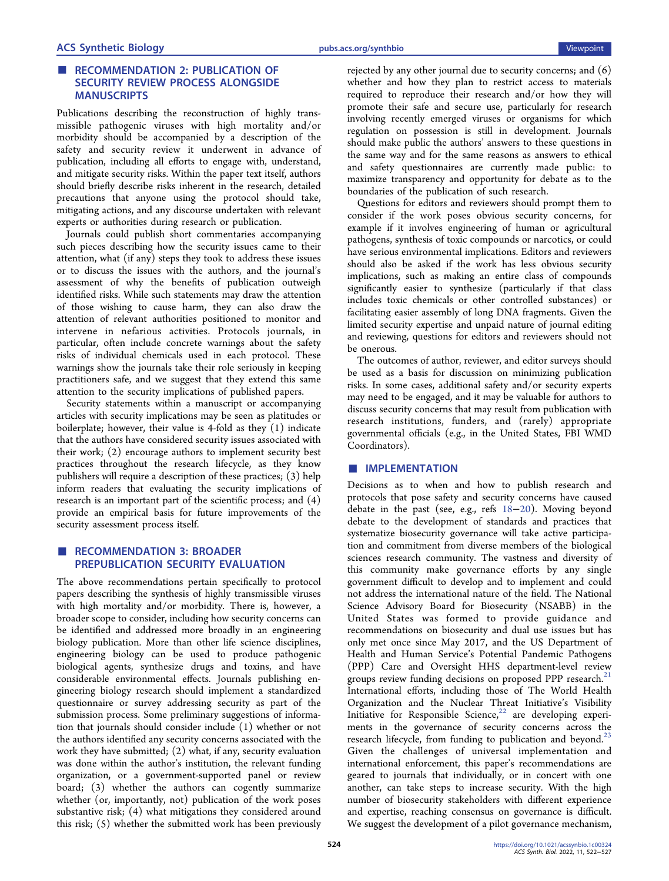# ■ RECOMMENDATION 2: PUBLICATION OF SECURITY REVIEW PROCESS ALONGSIDE MANUSCRIPTS

Publications describing the reconstruction of highly transmissible pathogenic viruses with high mortality and/or morbidity should be accompanied by a description of the safety and security review it underwent in advance of publication, including all efforts to engage with, understand, and mitigate security risks. Within the paper text itself, authors should briefly describe risks inherent in the research, detailed precautions that anyone using the protocol should take, mitigating actions, and any discourse undertaken with relevant experts or authorities during research or publication.

Journals could publish short commentaries accompanying such pieces describing how the security issues came to their attention, what (if any) steps they took to address these issues or to discuss the issues with the authors, and the journal's assessment of why the benefits of publication outweigh identified risks. While such statements may draw the attention of those wishing to cause harm, they can also draw the attention of relevant authorities positioned to monitor and intervene in nefarious activities. Protocols journals, in particular, often include concrete warnings about the safety risks of individual chemicals used in each protocol. These warnings show the journals take their role seriously in keeping practitioners safe, and we suggest that they extend this same attention to the security implications of published papers.

Security statements within a manuscript or accompanying articles with security implications may be seen as platitudes or boilerplate; however, their value is 4-fold as they (1) indicate that the authors have considered security issues associated with their work; (2) encourage authors to implement security best practices throughout the research lifecycle, as they know publishers will require a description of these practices; (3) help inform readers that evaluating the security implications of research is an important part of the scientific process; and (4) provide an empirical basis for future improvements of the security assessment process itself.

# ■ RECOMMENDATION 3: BROADER PREPUBLICATION SECURITY EVALUATION

The above recommendations pertain specifically to protocol papers describing the synthesis of highly transmissible viruses with high mortality and/or morbidity. There is, however, a broader scope to consider, including how security concerns can be identified and addressed more broadly in an engineering biology publication. More than other life science disciplines, engineering biology can be used to produce pathogenic biological agents, synthesize drugs and toxins, and have considerable environmental effects. Journals publishing engineering biology research should implement a standardized questionnaire or survey addressing security as part of the submission process. Some preliminary suggestions of information that journals should consider include (1) whether or not the authors identified any security concerns associated with the work they have submitted; (2) what, if any, security evaluation was done within the author's institution, the relevant funding organization, or a government-supported panel or review board; (3) whether the authors can cogently summarize whether (or, importantly, not) publication of the work poses substantive risk; (4) what mitigations they considered around this risk; (5) whether the submitted work has been previously

rejected by any other journal due to security concerns; and (6) whether and how they plan to restrict access to materials required to reproduce their research and/or how they will promote their safe and secure use, particularly for research involving recently emerged viruses or organisms for which regulation on possession is still in development. Journals should make public the authors' answers to these questions in the same way and for the same reasons as answers to ethical and safety questionnaires are currently made public: to maximize transparency and opportunity for debate as to the boundaries of the publication of such research.

Questions for editors and reviewers should prompt them to consider if the work poses obvious security concerns, for example if it involves engineering of human or agricultural pathogens, synthesis of toxic compounds or narcotics, or could have serious environmental implications. Editors and reviewers should also be asked if the work has less obvious security implications, such as making an entire class of compounds significantly easier to synthesize (particularly if that class includes toxic chemicals or other controlled substances) or facilitating easier assembly of long DNA fragments. Given the limited security expertise and unpaid nature of journal editing and reviewing, questions for editors and reviewers should not be onerous.

The outcomes of author, reviewer, and editor surveys should be used as a basis for discussion on minimizing publication risks. In some cases, additional safety and/or security experts may need to be engaged, and it may be valuable for authors to discuss security concerns that may result from publication with research institutions, funders, and (rarely) appropriate governmental officials (e.g., in the United States, FBI WMD Coordinators).

# ■ **IMPLEMENTATION**

Decisions as to when and how to publish research and protocols that pose safety and security concerns have caused debate in the past (see, e.g., refs [18](#page-4-0)−[20\)](#page-5-0). Moving beyond debate to the development of standards and practices that systematize biosecurity governance will take active participation and commitment from diverse members of the biological sciences research community. The vastness and diversity of this community make governance efforts by any single government difficult to develop and to implement and could not address the international nature of the field. The National Science Advisory Board for Biosecurity (NSABB) in the United States was formed to provide guidance and recommendations on biosecurity and dual use issues but has only met once since May 2017, and the US Department of Health and Human Service's Potential Pandemic Pathogens (PPP) Care and Oversight HHS department-level review groups review funding decisions on proposed PPP research. $21$ International efforts, including those of The World Health Organization and the Nuclear Threat Initiative's Visibility Initiative for Responsible Science, $22$  are developing experiments in the governance of security concerns across the research lifecycle, from funding to publication and beyond. $^{23}$ Given the challenges of universal implementation and international enforcement, this paper's recommendations are geared to journals that individually, or in concert with one another, can take steps to increase security. With the high number of biosecurity stakeholders with different experience and expertise, reaching consensus on governance is difficult. We suggest the development of a pilot governance mechanism,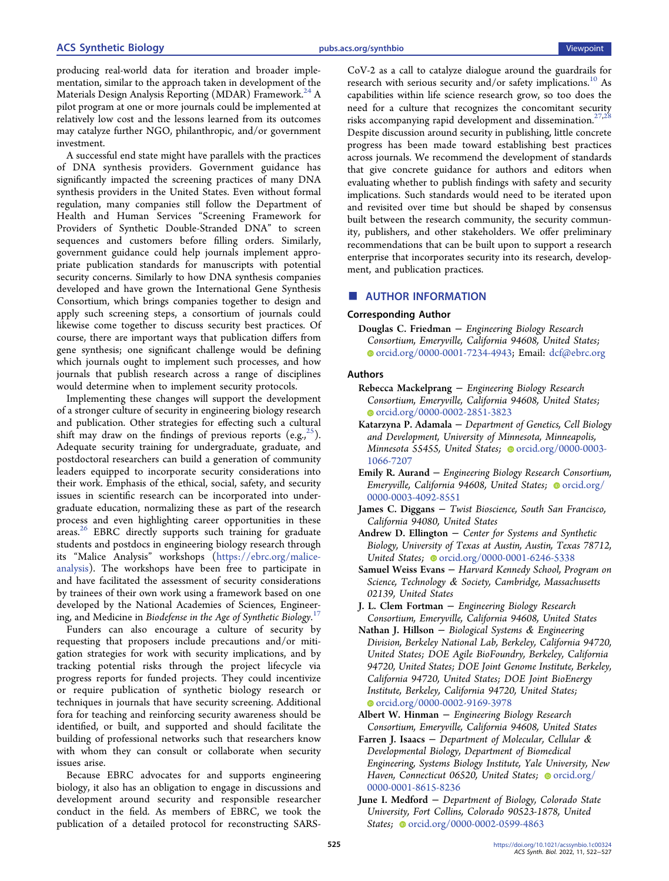<span id="page-3-0"></span>producing real-world data for iteration and broader implementation, similar to the approach taken in development of the Materials Design Analysis Reporting (MDAR) Framework.<sup>[24](#page-5-0)</sup> A pilot program at one or more journals could be implemented at relatively low cost and the lessons learned from its outcomes may catalyze further NGO, philanthropic, and/or government investment.

A successful end state might have parallels with the practices of DNA synthesis providers. Government guidance has significantly impacted the screening practices of many DNA synthesis providers in the United States. Even without formal regulation, many companies still follow the Department of Health and Human Services "Screening Framework for Providers of Synthetic Double-Stranded DNA" to screen sequences and customers before filling orders. Similarly, government guidance could help journals implement appropriate publication standards for manuscripts with potential security concerns. Similarly to how DNA synthesis companies developed and have grown the International Gene Synthesis Consortium, which brings companies together to design and apply such screening steps, a consortium of journals could likewise come together to discuss security best practices. Of course, there are important ways that publication differs from gene synthesis; one significant challenge would be defining which journals ought to implement such processes, and how journals that publish research across a range of disciplines would determine when to implement security protocols.

Implementing these changes will support the development of a stronger culture of security in engineering biology research and publication. Other strategies for effecting such a cultural shift may draw on the findings of previous reports (e.g.,  $^{25}$  $^{25}$  $^{25}$ ). Adequate security training for undergraduate, graduate, and postdoctoral researchers can build a generation of community leaders equipped to incorporate security considerations into their work. Emphasis of the ethical, social, safety, and security issues in scientific research can be incorporated into undergraduate education, normalizing these as part of the research process and even highlighting career opportunities in these areas.<sup>[26](#page-5-0)</sup> EBRC directly supports such training for graduate students and postdocs in engineering biology research through its "Malice Analysis" workshops ([https://ebrc.org/malice](https://ebrc.org/malice-analysis)[analysis\)](https://ebrc.org/malice-analysis). The workshops have been free to participate in and have facilitated the assessment of security considerations by trainees of their own work using a framework based on one developed by the National Academies of Sciences, Engineering, and Medicine in Biodefense in the Age of Synthetic Biology. $^{17}$  $^{17}$  $^{17}$ 

Funders can also encourage a culture of security by requesting that proposers include precautions and/or mitigation strategies for work with security implications, and by tracking potential risks through the project lifecycle via progress reports for funded projects. They could incentivize or require publication of synthetic biology research or techniques in journals that have security screening. Additional fora for teaching and reinforcing security awareness should be identified, or built, and supported and should facilitate the building of professional networks such that researchers know with whom they can consult or collaborate when security issues arise.

Because EBRC advocates for and supports engineering biology, it also has an obligation to engage in discussions and development around security and responsible researcher conduct in the field. As members of EBRC, we took the publication of a detailed protocol for reconstructing SARS-

CoV-2 as a call to catalyze dialogue around the guardrails for research with serious security and/or safety implications.<sup>10</sup> As capabilities within life science research grow, so too does the need for a culture that recognizes the concomitant security risks accompanying rapid development and dissemination.<sup>[27,28](#page-5-0)</sup> Despite discussion around security in publishing, little concrete progress has been made toward establishing best practices across journals. We recommend the development of standards that give concrete guidance for authors and editors when evaluating whether to publish findings with safety and security implications. Such standards would need to be iterated upon and revisited over time but should be shaped by consensus built between the research community, the security community, publishers, and other stakeholders. We offer preliminary recommendations that can be built upon to support a research enterprise that incorporates security into its research, development, and publication practices.

# ■ AUTHOR INFORMATION

### Corresponding Author

Douglas C. Friedman − Engineering Biology Research Consortium, Emeryville, California 94608, United States; [orcid.org/0000-0001-7234-4943;](https://orcid.org/0000-0001-7234-4943) Email: [dcf@ebrc.org](mailto:dcf@ebrc.org)

#### Authors

- Rebecca Mackelprang − Engineering Biology Research Consortium, Emeryville, California 94608, United States; [orcid.org/0000-0002-2851-3823](https://orcid.org/0000-0002-2851-3823)
- Katarzyna P. Adamala − Department of Genetics, Cell Biology and Development, University of Minnesota, Minneapolis, Minnesota 55455, United States; [orcid.org/0000-0003-](https://orcid.org/0000-0003-1066-7207) [1066-7207](https://orcid.org/0000-0003-1066-7207)
- Emily R. Aurand − Engineering Biology Research Consortium, Emeryville, California 94608, United States; occid.org/ [0000-0003-4092-8551](https://orcid.org/0000-0003-4092-8551)
- James C. Diggans − Twist Bioscience, South San Francisco, California 94080, United States
- Andrew D. Ellington − Center for Systems and Synthetic Biology, University of Texas at Austin, Austin, Texas 78712, United States; Orcid.org/0000-0001-6246-5338
- Samuel Weiss Evans − Harvard Kennedy School, Program on Science, Technology & Society, Cambridge, Massachusetts 02139, United States
- J. L. Clem Fortman − Engineering Biology Research Consortium, Emeryville, California 94608, United States
- Nathan J. Hillson Biological Systems & Engineering Division, Berkeley National Lab, Berkeley, California 94720, United States; DOE Agile BioFoundry, Berkeley, California 94720, United States; DOE Joint Genome Institute, Berkeley, California 94720, United States; DOE Joint BioEnergy Institute, Berkeley, California 94720, United States; [orcid.org/0000-0002-9169-3978](https://orcid.org/0000-0002-9169-3978)
- Albert W. Hinman Engineering Biology Research Consortium, Emeryville, California 94608, United States
- Farren J. Isaacs − Department of Molecular, Cellular & Developmental Biology, Department of Biomedical Engineering, Systems Biology Institute, Yale University, New Haven, Connecticut 06520, United States; [orcid.org/](https://orcid.org/0000-0001-8615-8236) [0000-0001-8615-8236](https://orcid.org/0000-0001-8615-8236)
- June I. Medford − Department of Biology, Colorado State University, Fort Collins, Colorado 90523-1878, United States; [orcid.org/0000-0002-0599-4863](https://orcid.org/0000-0002-0599-4863)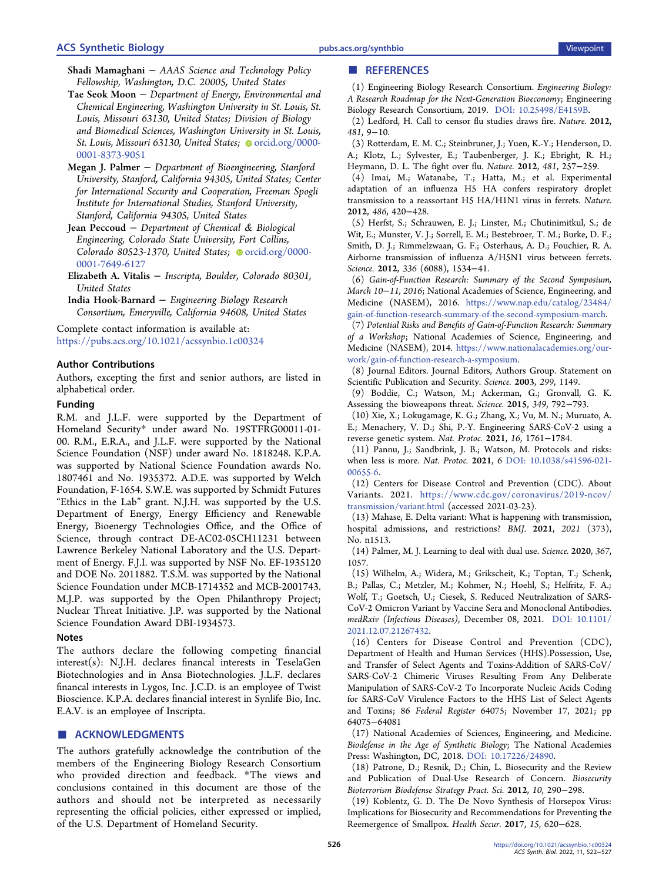#### <span id="page-4-0"></span>ACS Synthetic Biology [pubs.acs.org/synthbio](pubs.acs.org/synthbio?ref=pdf) Viewpoint

- Shadi Mamaghani − AAAS Science and Technology Policy Fellowship, Washington, D.C. 20005, United States
- Tae Seok Moon − Department of Energy, Environmental and Chemical Engineering, Washington University in St. Louis, St. Louis, Missouri 63130, United States; Division of Biology and Biomedical Sciences, Washington University in St. Louis, St. Louis, Missouri 63130, United States; [orcid.org/0000-](https://orcid.org/0000-0001-8373-9051) [0001-8373-9051](https://orcid.org/0000-0001-8373-9051)
- Megan J. Palmer − Department of Bioengineering, Stanford University, Stanford, California 94305, United States; Center for International Security and Cooperation, Freeman Spogli Institute for International Studies, Stanford University, Stanford, California 94305, United States
- Jean Peccoud − Department of Chemical & Biological Engineering, Colorado State University, Fort Collins, Colorado 80523-1370, United States;  $\bullet$  [orcid.org/0000-](https://orcid.org/0000-0001-7649-6127) [0001-7649-6127](https://orcid.org/0000-0001-7649-6127)
- Elizabeth A. Vitalis − Inscripta, Boulder, Colorado 80301, United States

India Hook-Barnard − Engineering Biology Research Consortium, Emeryville, California 94608, United States

Complete contact information is available at: [https://pubs.acs.org/10.1021/acssynbio.1c00324](https://pubs.acs.org/doi/10.1021/acssynbio.1c00324?ref=pdf)

### Author Contributions

Authors, excepting the first and senior authors, are listed in alphabetical order.

#### Funding

R.M. and J.L.F. were supported by the Department of Homeland Security\* under award No. 19STFRG00011-01- 00. R.M., E.R.A., and J.L.F. were supported by the National Science Foundation (NSF) under award No. 1818248. K.P.A. was supported by National Science Foundation awards No. 1807461 and No. 1935372. A.D.E. was supported by Welch Foundation, F-1654. S.W.E. was supported by Schmidt Futures "Ethics in the Lab" grant. N.J.H. was supported by the U.S. Department of Energy, Energy Efficiency and Renewable Energy, Bioenergy Technologies Office, and the Office of Science, through contract DE-AC02-05CH11231 between Lawrence Berkeley National Laboratory and the U.S. Department of Energy. F.J.I. was supported by NSF No. EF-1935120 and DOE No. 2011882. T.S.M. was supported by the National Science Foundation under MCB-1714352 and MCB-2001743. M.J.P. was supported by the Open Philanthropy Project; Nuclear Threat Initiative. J.P. was supported by the National Science Foundation Award DBI-1934573.

### Notes

The authors declare the following competing financial interest(s): N.J.H. declares financal interests in TeselaGen Biotechnologies and in Ansa Biotechnologies. J.L.F. declares financal interests in Lygos, Inc. J.C.D. is an employee of Twist Bioscience. K.P.A. declares financial interest in Synlife Bio, Inc. E.A.V. is an employee of Inscripta.

# ■ ACKNOWLEDGMENTS

The authors gratefully acknowledge the contribution of the members of the Engineering Biology Research Consortium who provided direction and feedback. \*The views and conclusions contained in this document are those of the authors and should not be interpreted as necessarily representing the official policies, either expressed or implied, of the U.S. Department of Homeland Security.

(1) Engineering Biology Research Consortium. Engineering Biology: A Research Roadmap for the Next-Generation Bioeconomy; Engineering Biology Research Consortium, 2019. [DOI: 10.25498/E4159B](https://doi.org/10.25498/E4159B?urlappend=%3Fref%3DPDF&jav=VoR&rel=cite-as).

(2) Ledford, H. [Call to censor flu studies draws fire.](https://doi.org/10.1038/481009a) Nature. 2012, 481, 9−10.

(3) Rotterdam, E. M. C.; Steinbruner, J.; Yuen, K.-Y.; Henderson, D. A.; Klotz, L.; Sylvester, E.; Taubenberger, J. K.; Ebright, R. H.; Heymann, D. L[. The fight over flu.](https://doi.org/10.1038/481257a) Nature. 2012, 481, 257−259.

(4) Imai, M.; Watanabe, T.; Hatta, M.; et al. [Experimental](https://doi.org/10.1038/nature10831) [adaptation of an influenza H5 HA confers respiratory droplet](https://doi.org/10.1038/nature10831) [transmission to a reassortant H5 HA/H1N1 virus in ferrets.](https://doi.org/10.1038/nature10831) Nature. 2012, 486, 420−428.

(5) Herfst, S.; Schrauwen, E. J.; Linster, M.; Chutinimitkul, S.; de Wit, E.; Munster, V. J.; Sorrell, E. M.; Bestebroer, T. M.; Burke, D. F.; Smith, D. J.; Rimmelzwaan, G. F.; Osterhaus, A. D.; Fouchier, R. A. [Airborne transmission of influenza A/H5N1 virus between ferrets.](https://doi.org/10.1126/science.1213362) Science. 2012, 336 (6088), 1534−41.

(6) Gain-of-Function Research: Summary of the Second Symposium, March 10−11, 2016; National Academies of Science, Engineering, and Medicine (NASEM), 2016. [https://www.nap.edu/catalog/23484/](https://www.nap.edu/catalog/23484/gain-of-function-research-summary-of-the-second-symposium-march) [gain-of-function-research-summary-of-the-second-symposium-march](https://www.nap.edu/catalog/23484/gain-of-function-research-summary-of-the-second-symposium-march).

(7) Potential Risks and Benefits of Gain-of-Function Research: Summary of a Workshop; National Academies of Science, Engineering, and Medicine (NASEM), 2014. [https://www.nationalacademies.org/our](https://www.nationalacademies.org/our-work/gain-of-function-research-a-symposium)[work/gain-of-function-research-a-symposium](https://www.nationalacademies.org/our-work/gain-of-function-research-a-symposium).

(8) Journal Editors. [Journal Editors, Authors Group. Statement on](https://doi.org/10.1126/science.299.5610.1149) [Scientific Publication and Security.](https://doi.org/10.1126/science.299.5610.1149) Science. 2003, 299, 1149.

(9) Boddie, C.; Watson, M.; Ackerman, G.; Gronvall, G. K. [Assessing the bioweapons threat.](https://doi.org/10.1126/science.aab0713) Science. 2015, 349, 792−793.

(10) Xie, X.; Lokugamage, K. G.; Zhang, X.; Vu, M. N.; Muruato, A. E.; Menachery, V. D.; Shi, P.-Y. [Engineering SARS-CoV-2 using a](https://doi.org/10.1038/s41596-021-00491-8) [reverse genetic system.](https://doi.org/10.1038/s41596-021-00491-8) Nat. Protoc. 2021, 16, 1761−1784.

(11) Pannu, J.; Sandbrink, J. B.; Watson, M[. Protocols and risks:](https://doi.org/10.1038/s41596-021-00655-6) [when less is more.](https://doi.org/10.1038/s41596-021-00655-6) Nat. Protoc. 2021, 6 [DOI: 10.1038/s41596-021-](https://doi.org/10.1038/s41596-021-00655-6?urlappend=%3Fref%3DPDF&jav=VoR&rel=cite-as) [00655-6.](https://doi.org/10.1038/s41596-021-00655-6?urlappend=%3Fref%3DPDF&jav=VoR&rel=cite-as)

(12) Centers for Disease Control and Prevention (CDC). About Variants. 2021. [https://www.cdc.gov/coronavirus/2019-ncov/](https://www.cdc.gov/coronavirus/2019-ncov/transmission/variant.html) [transmission/variant.html](https://www.cdc.gov/coronavirus/2019-ncov/transmission/variant.html) (accessed 2021-03-23).

(13) Mahase, E[. Delta variant: What is happening with transmission,](https://doi.org/10.1136/bmj.n1513) [hospital admissions, and restrictions?](https://doi.org/10.1136/bmj.n1513) BMJ. 2021, 2021 (373), No. n1513.

(14) Palmer, M. J[. Learning to deal with dual use.](https://doi.org/10.1126/science.abb1466) Science. 2020, 367, 1057.

(15) Wilhelm, A.; Widera, M.; Grikscheit, K.; Toptan, T.; Schenk, B.; Pallas, C.; Metzler, M.; Kohmer, N.; Hoehl, S.; Helfritz, F. A.; Wolf, T.; Goetsch, U.; Ciesek, S. [Reduced Neutralization of SARS-](https://doi.org/10.1101/2021.12.07.21267432)[CoV-2 Omicron Variant by Vaccine Sera and Monoclonal Antibodies.](https://doi.org/10.1101/2021.12.07.21267432) medRxiv (Infectious Diseases), December 08, 2021. [DOI: 10.1101/](https://doi.org/10.1101/2021.12.07.21267432?urlappend=%3Fref%3DPDF&jav=VoR&rel=cite-as) [2021.12.07.21267432.](https://doi.org/10.1101/2021.12.07.21267432?urlappend=%3Fref%3DPDF&jav=VoR&rel=cite-as)

(16) Centers for Disease Control and Prevention (CDC), Department of Health and Human Services (HHS).Possession, Use, and Transfer of Select Agents and Toxins-Addition of SARS-CoV/ SARS-CoV-2 Chimeric Viruses Resulting From Any Deliberate Manipulation of SARS-CoV-2 To Incorporate Nucleic Acids Coding for SARS-CoV Virulence Factors to the HHS List of Select Agents and Toxins; 86 Federal Register 64075; November 17, 2021; pp 64075−64081

(17) National Academies of Sciences, Engineering, and Medicine. Biodefense in the Age of Synthetic Biology; The National Academies Press: Washington, DC, 2018. [DOI: 10.17226/24890.](https://doi.org/10.17226/24890?urlappend=%3Fref%3DPDF&jav=VoR&rel=cite-as)

(18) Patrone, D.; Resnik, D.; Chin, L. [Biosecurity and the Review](https://doi.org/10.1089/bsp.2012.0011) [and Publication of Dual-Use Research of Concern.](https://doi.org/10.1089/bsp.2012.0011) Biosecurity Bioterrorism Biodefense Strategy Pract. Sci. 2012, 10, 290−298.

(19) Koblentz, G. D[. The De Novo Synthesis of Horsepox Virus:](https://doi.org/10.1089/hs.2017.0061) [Implications for Biosecurity and Recommendations for Preventing the](https://doi.org/10.1089/hs.2017.0061) [Reemergence of Smallpox.](https://doi.org/10.1089/hs.2017.0061) Health Secur. 2017, 15, 620−628.